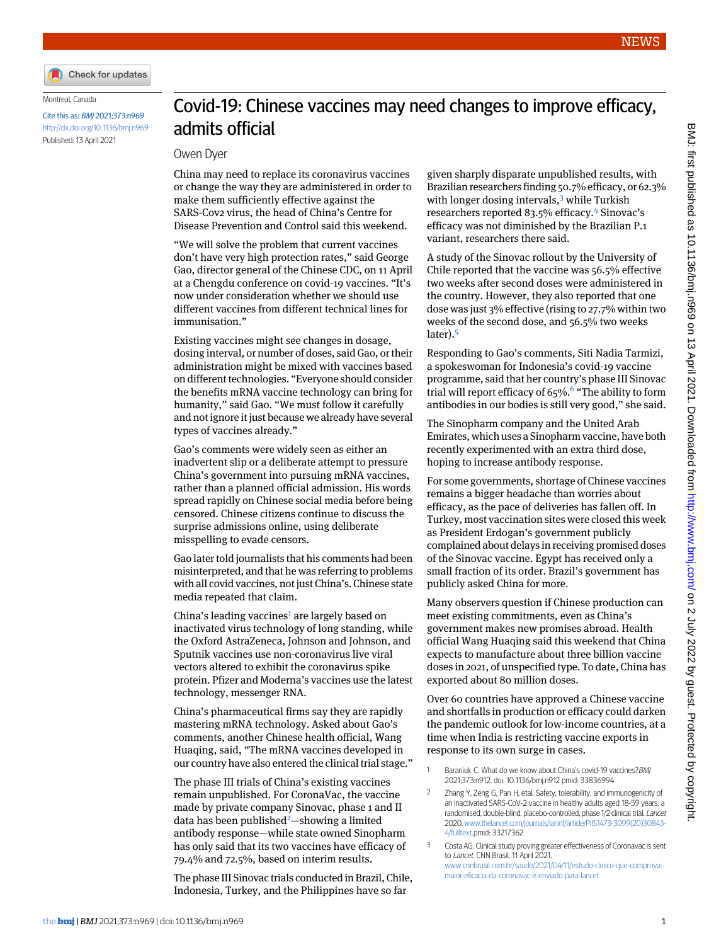

Montreal, Canada

Cite this as: BMJ 2021;373:n969 <http://dx.doi.org/10.1136/bmj.n969> Published: 13 April 2021

## Covid-19: Chinese vaccines may need changes to improve efficacy, admits official

## Owen Dyer

China may need to replace its coronavirus vaccines or change the way they are administered in order to make them sufficiently effective against the SARS-Cov2 virus, the head of China's Centre for Disease Prevention and Control said this weekend.

"We will solve the problem that current vaccines don't have very high protection rates," said George Gao, director general of the Chinese CDC, on 11 April at a Chengdu conference on covid-19 vaccines. "It's now under consideration whether we should use different vaccines from different technical lines for immunisation."

Existing vaccines might see changes in dosage, dosing interval, or number of doses, said Gao, or their administration might be mixed with vaccines based on different technologies. "Everyone should consider the benefits mRNA vaccine technology can bring for humanity," said Gao. "We must follow it carefully and not ignore it just because we already have several types of vaccines already."

Gao's comments were widely seen as either an inadvertent slip or a deliberate attempt to pressure China's government into pursuing mRNA vaccines, rather than a planned official admission. His words spread rapidly on Chinese social media before being censored. Chinese citizens continue to discuss the surprise admissions online, using deliberate misspelling to evade censors.

Gao later told journalists that his comments had been misinterpreted, and that he was referring to problems with all covid vaccines, not just China's. Chinese state media repeated that claim.

China's leading vaccines<sup>[1](#page-0-0)</sup> are largely based on inactivated virus technology of long standing, while the Oxford AstraZeneca, Johnson and Johnson, and Sputnik vaccines use non-coronavirus live viral vectors altered to exhibit the coronavirus spike protein. Pfizer and Moderna's vaccines use the latest technology, messenger RNA.

China's pharmaceutical firms say they are rapidly mastering mRNA technology. Asked about Gao's comments, another Chinese health official, Wang Huaqing, said, "The mRNA vaccines developed in our country have also entered the clinical trial stage."

The phase III trials of China's existing vaccines remain unpublished. For CoronaVac, the vaccine made by private company Sinovac, phase 1 and II data has been published<sup>[2](#page-0-1)</sup>—showing a limited antibody response—while state owned Sinopharm has only said that its two vaccines have efficacy of 79.4% and 72.5%, based on interim results.

The phase III Sinovac trials conducted in Brazil, Chile, Indonesia, Turkey, and the Philippines have so far

given sharply disparate unpublished results, with Brazilian researchers finding 50.7% efficacy, or 62.3% with longer dosing intervals,<sup>[3](#page-0-2)</sup> while Turkish researchers reported 83.5% efficacy.[4](#page-1-0) Sinovac's efficacy was not diminished by the Brazilian P.1 variant, researchers there said.

A study of the Sinovac rollout by the University of Chile reported that the vaccine was 56.5% effective two weeks after second doses were administered in the country. However, they also reported that one dose was just 3% effective (rising to 27.7% within two weeks of the second dose, and 56.5% two weeks later).[5](#page-1-1)

Responding to Gao's comments, Siti Nadia Tarmizi, a spokeswoman for Indonesia's covid-19 vaccine programme, said that her country's phase III Sinovac trial will report efficacy of [6](#page-1-2)5%.<sup>6</sup> "The ability to form antibodies in our bodies is still very good," she said.

The Sinopharm company and the United Arab Emirates, which uses a Sinopharm vaccine, have both recently experimented with an extra third dose, hoping to increase antibody response.

For some governments, shortage of Chinese vaccines remains a bigger headache than worries about efficacy, as the pace of deliveries has fallen off. In Turkey, most vaccination sites were closed this week as President Erdogan's government publicly complained about delays in receiving promised doses of the Sinovac vaccine. Egypt has received only a small fraction of its order. Brazil's government has publicly asked China for more.

Many observers question if Chinese production can meet existing commitments, even as China's government makes new promises abroad. Health official Wang Huaqing said this weekend that China expects to manufacture about three billion vaccine doses in 2021, of unspecified type. To date, China has exported about 80 million doses.

<span id="page-0-1"></span><span id="page-0-0"></span>Over 60 countries have approved a Chinese vaccine and shortfalls in production or efficacy could darken the pandemic outlook for low-income countries, at a time when India is restricting vaccine exports in response to its own surge in cases.

<span id="page-0-2"></span>1 Baraniuk C. What do we know about China's covid-19 vaccines? BMJ 2021;373:n912. doi: 10.1136/bmj.n912 pmid: 33836994

[www.cnnbrasil.com.br/saude/2021/04/11/estudo-clinico-que-comprova](http://www.cnnbrasil.com.br/saude/2021/04/11/estudo-clinico-que-comprova-maior-eficacia-da-coronavac-e-enviado-para-lancet)[maior-eficacia-da-coronavac-e-enviado-para-lancet](http://www.cnnbrasil.com.br/saude/2021/04/11/estudo-clinico-que-comprova-maior-eficacia-da-coronavac-e-enviado-para-lancet)

<sup>2</sup> Zhang Y, Zeng G, Pan H, etal. Safety, tolerability, and immunogenicity of an inactivated SARS-CoV-2 vaccine in healthy adults aged 18-59 years: a randomised, double-blind, placebo-controlled, phase 1/2 clinical trial. Lancet 2020.[www.thelancet.com/journals/laninf/article/PIIS1473-3099\(20\)30843-](http://www.thelancet.com/journals/laninf/article/PIIS1473-3099(20)30843-4/fulltext) [4/fulltext.](http://www.thelancet.com/journals/laninf/article/PIIS1473-3099(20)30843-4/fulltext)pmid: 33217362

<sup>3</sup> Costa AG. Clinical study proving greater effectiveness of Coronavac is sent to Lancet. CNN Brasil. 11 April 2021.